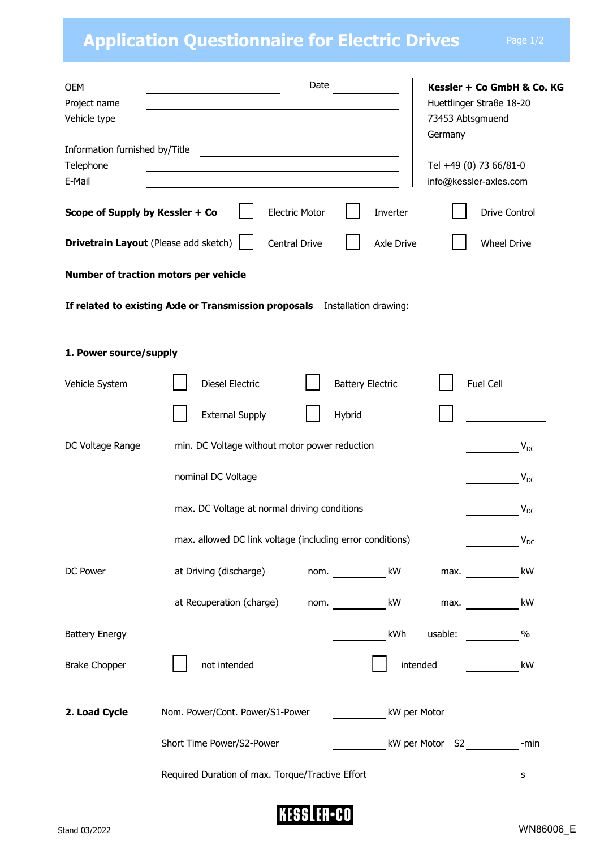## **Application Questionnaire for Electric Drives** Page 1/2

| <b>OEM</b><br>Project name                            | Date<br>the control of the control of the control of the control of the control of | Kessler + Co GmbH & Co. KG<br>Huettlinger Straße 18-20<br>73453 Abtsgmuend<br>Germany |  |  |
|-------------------------------------------------------|------------------------------------------------------------------------------------|---------------------------------------------------------------------------------------|--|--|
| Vehicle type                                          |                                                                                    |                                                                                       |  |  |
| Information furnished by/Title<br>Telephone<br>E-Mail | <u> 1989 - Johann John Stein, fransk politik (d. 1989)</u>                         | Tel +49 (0) 73 66/81-0<br>info@kessler-axles.com                                      |  |  |
| Scope of Supply by Kessler + Co                       | <b>Electric Motor</b><br>Inverter                                                  | <b>Drive Control</b>                                                                  |  |  |
|                                                       | <b>Drivetrain Layout</b> (Please add sketch)<br>Central Drive<br><b>Axle Drive</b> | <b>Wheel Drive</b>                                                                    |  |  |
|                                                       | Number of traction motors per vehicle                                              |                                                                                       |  |  |
|                                                       | If related to existing Axle or Transmission proposals Installation drawing:        |                                                                                       |  |  |
| 1. Power source/supply                                |                                                                                    |                                                                                       |  |  |
| Vehicle System                                        | <b>Diesel Electric</b><br><b>Battery Electric</b>                                  | Fuel Cell                                                                             |  |  |
|                                                       | <b>External Supply</b><br>Hybrid                                                   |                                                                                       |  |  |
| DC Voltage Range                                      | min. DC Voltage without motor power reduction                                      | $V_{DC}$                                                                              |  |  |
|                                                       | nominal DC Voltage                                                                 | $V_{DC}$                                                                              |  |  |
|                                                       | max. DC Voltage at normal driving conditions                                       | $V_{DC}$                                                                              |  |  |
|                                                       | max. allowed DC link voltage (including error conditions)                          | $V_{DC}$                                                                              |  |  |
| DC Power                                              | at Driving (discharge)<br>kW<br>nom.                                               | kW<br>max.                                                                            |  |  |
|                                                       | at Recuperation (charge)<br>kW<br>nom.                                             | kW<br>max.                                                                            |  |  |
| <b>Battery Energy</b>                                 | kWh                                                                                | usable:<br>$\%$                                                                       |  |  |
| <b>Brake Chopper</b>                                  | not intended                                                                       | intended<br>kW                                                                        |  |  |
| 2. Load Cycle                                         | Nom. Power/Cont. Power/S1-Power<br>kW per Motor                                    |                                                                                       |  |  |
|                                                       | Short Time Power/S2-Power                                                          | kW per Motor S2 cmin                                                                  |  |  |
|                                                       | Required Duration of max. Torque/Tractive Effort                                   | s                                                                                     |  |  |

**KESSLER**-CO